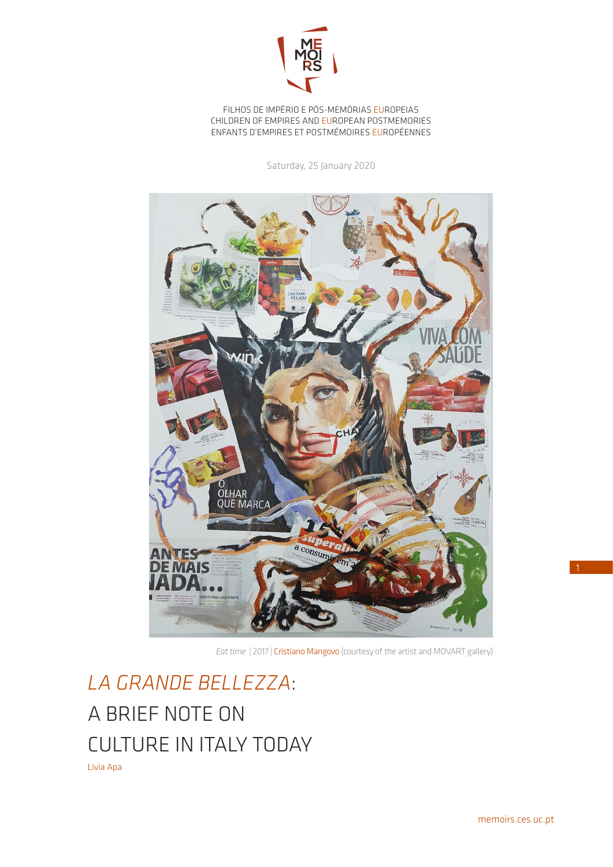

FILHOS DE IMPÉRIO E PÓS-MEMÓRIAS EUROPEIAS CHILDREN OF EMPIRES AND EUROPEAN POSTMEMORIES ENFANTS D'EMPIRES ET POSTMÉMOIRES EUROPÉENNES

Saturday, 25 January 2020



*Eat time* | 2017 | *Cristiano Mangovo* (courtesy of the artist and MOVART gallery)

*LA GRANDE BELLEZZA*: A BRIEF NOTE ON CULTURE IN ITALY TODAY Livia Apa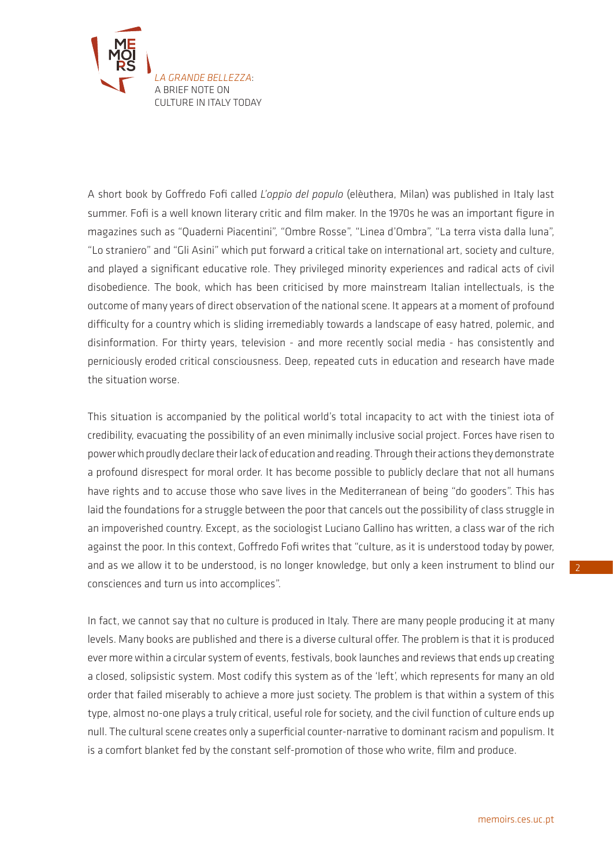

A short book by Goffredo Fofi called *L'oppio del populo* (elèuthera, Milan) was published in Italy last summer. Fofi is a well known literary critic and film maker. In the 1970s he was an important figure in magazines such as "Quaderni Piacentini", "Ombre Rosse", "Linea d'Ombra", "La terra vista dalla luna", "Lo straniero" and "Gli Asini" which put forward a critical take on international art, society and culture, and played a significant educative role. They privileged minority experiences and radical acts of civil disobedience. The book, which has been criticised by more mainstream Italian intellectuals, is the outcome of many years of direct observation of the national scene. It appears at a moment of profound difficulty for a country which is sliding irremediably towards a landscape of easy hatred, polemic, and disinformation. For thirty years, television - and more recently social media - has consistently and perniciously eroded critical consciousness. Deep, repeated cuts in education and research have made the situation worse.

This situation is accompanied by the political world's total incapacity to act with the tiniest iota of credibility, evacuating the possibility of an even minimally inclusive social project. Forces have risen to power which proudly declare their lack of education and reading. Through their actions they demonstrate a profound disrespect for moral order. It has become possible to publicly declare that not all humans have rights and to accuse those who save lives in the Mediterranean of being "do gooders". This has laid the foundations for a struggle between the poor that cancels out the possibility of class struggle in an impoverished country. Except, as the sociologist Luciano Gallino has written, a class war of the rich against the poor. In this context, Goffredo Fofi writes that "culture, as it is understood today by power, and as we allow it to be understood, is no longer knowledge, but only a keen instrument to blind our consciences and turn us into accomplices".

In fact, we cannot say that no culture is produced in Italy. There are many people producing it at many levels. Many books are published and there is a diverse cultural offer. The problem is that it is produced ever more within a circular system of events, festivals, book launches and reviews that ends up creating a closed, solipsistic system. Most codify this system as of the 'left', which represents for many an old order that failed miserably to achieve a more just society. The problem is that within a system of this type, almost no-one plays a truly critical, useful role for society, and the civil function of culture ends up null. The cultural scene creates only a superficial counter-narrative to dominant racism and populism. It is a comfort blanket fed by the constant self-promotion of those who write, film and produce.